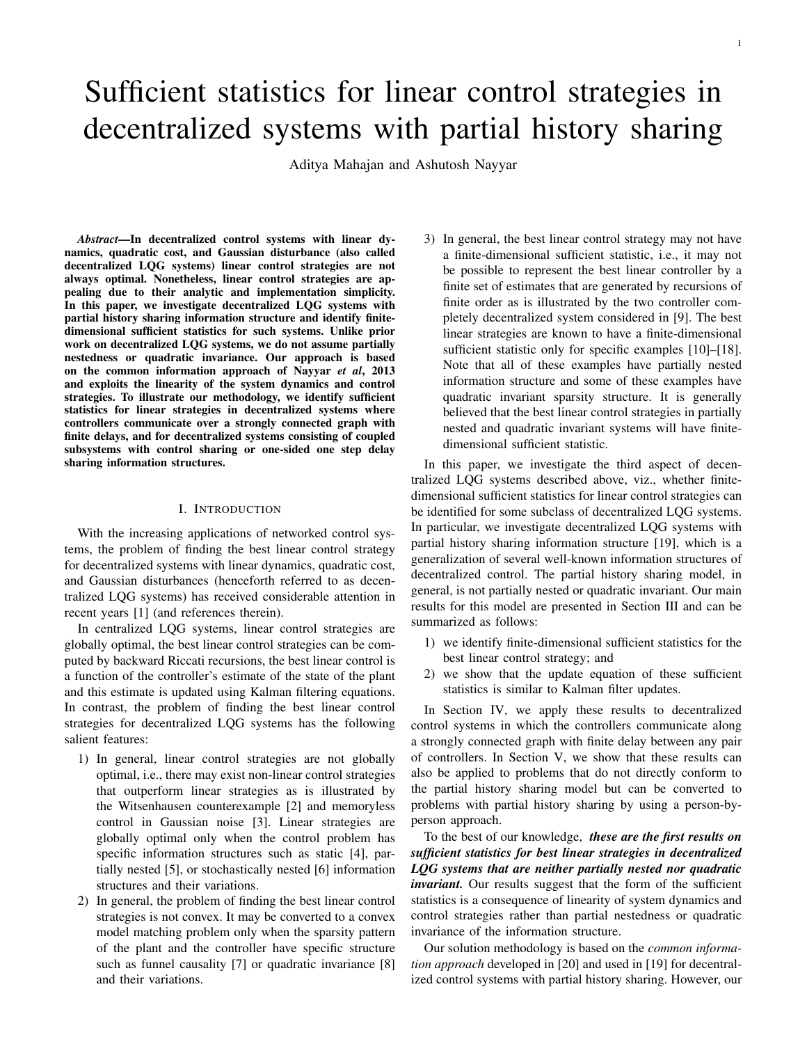# Sufficient statistics for linear control strategies in decentralized systems with partial history sharing

Aditya Mahajan and Ashutosh Nayyar

*Abstract*—In decentralized control systems with linear dynamics, quadratic cost, and Gaussian disturbance (also called decentralized LQG systems) linear control strategies are not always optimal. Nonetheless, linear control strategies are appealing due to their analytic and implementation simplicity. In this paper, we investigate decentralized LQG systems with partial history sharing information structure and identify finitedimensional sufficient statistics for such systems. Unlike prior work on decentralized LQG systems, we do not assume partially nestedness or quadratic invariance. Our approach is based on the common information approach of Nayyar *et al*, 2013 and exploits the linearity of the system dynamics and control strategies. To illustrate our methodology, we identify sufficient statistics for linear strategies in decentralized systems where controllers communicate over a strongly connected graph with finite delays, and for decentralized systems consisting of coupled subsystems with control sharing or one-sided one step delay sharing information structures.

## I. INTRODUCTION

With the increasing applications of networked control systems, the problem of finding the best linear control strategy for decentralized systems with linear dynamics, quadratic cost, and Gaussian disturbances (henceforth referred to as decentralized LQG systems) has received considerable attention in recent years [1] (and references therein).

In centralized LQG systems, linear control strategies are globally optimal, the best linear control strategies can be computed by backward Riccati recursions, the best linear control is a function of the controller's estimate of the state of the plant and this estimate is updated using Kalman filtering equations. In contrast, the problem of finding the best linear control strategies for decentralized LQG systems has the following salient features:

- 1) In general, linear control strategies are not globally optimal, i.e., there may exist non-linear control strategies that outperform linear strategies as is illustrated by the Witsenhausen counterexample [2] and memoryless control in Gaussian noise [3]. Linear strategies are globally optimal only when the control problem has specific information structures such as static [4], partially nested [5], or stochastically nested [6] information structures and their variations.
- 2) In general, the problem of finding the best linear control strategies is not convex. It may be converted to a convex model matching problem only when the sparsity pattern of the plant and the controller have specific structure such as funnel causality [7] or quadratic invariance [8] and their variations.

3) In general, the best linear control strategy may not have a finite-dimensional sufficient statistic, i.e., it may not be possible to represent the best linear controller by a finite set of estimates that are generated by recursions of finite order as is illustrated by the two controller completely decentralized system considered in [9]. The best linear strategies are known to have a finite-dimensional sufficient statistic only for specific examples [10]–[18]. Note that all of these examples have partially nested information structure and some of these examples have quadratic invariant sparsity structure. It is generally believed that the best linear control strategies in partially nested and quadratic invariant systems will have finitedimensional sufficient statistic.

In this paper, we investigate the third aspect of decentralized LQG systems described above, viz., whether finitedimensional sufficient statistics for linear control strategies can be identified for some subclass of decentralized LQG systems. In particular, we investigate decentralized LQG systems with partial history sharing information structure [19], which is a generalization of several well-known information structures of decentralized control. The partial history sharing model, in general, is not partially nested or quadratic invariant. Our main results for this model are presented in Section III and can be summarized as follows:

- 1) we identify finite-dimensional sufficient statistics for the best linear control strategy; and
- 2) we show that the update equation of these sufficient statistics is similar to Kalman filter updates.

In Section IV, we apply these results to decentralized control systems in which the controllers communicate along a strongly connected graph with finite delay between any pair of controllers. In Section V, we show that these results can also be applied to problems that do not directly conform to the partial history sharing model but can be converted to problems with partial history sharing by using a person-byperson approach.

To the best of our knowledge, *these are the first results on sufficient statistics for best linear strategies in decentralized LQG systems that are neither partially nested nor quadratic invariant*. Our results suggest that the form of the sufficient statistics is a consequence of linearity of system dynamics and control strategies rather than partial nestedness or quadratic invariance of the information structure.

Our solution methodology is based on the *common information approach* developed in [20] and used in [19] for decentralized control systems with partial history sharing. However, our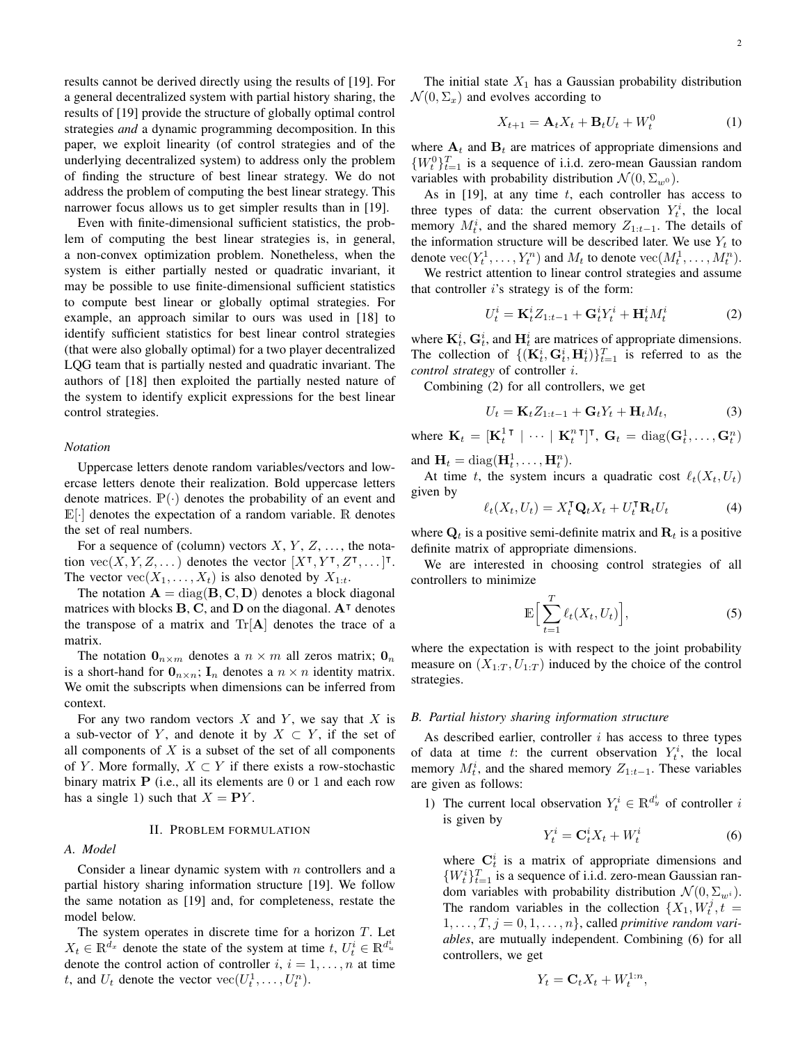results cannot be derived directly using the results of [19]. For a general decentralized system with partial history sharing, the results of [19] provide the structure of globally optimal control strategies *and* a dynamic programming decomposition. In this paper, we exploit linearity (of control strategies and of the underlying decentralized system) to address only the problem of finding the structure of best linear strategy. We do not address the problem of computing the best linear strategy. This narrower focus allows us to get simpler results than in [19].

Even with finite-dimensional sufficient statistics, the problem of computing the best linear strategies is, in general, a non-convex optimization problem. Nonetheless, when the system is either partially nested or quadratic invariant, it may be possible to use finite-dimensional sufficient statistics to compute best linear or globally optimal strategies. For example, an approach similar to ours was used in [18] to identify sufficient statistics for best linear control strategies (that were also globally optimal) for a two player decentralized LQG team that is partially nested and quadratic invariant. The authors of [18] then exploited the partially nested nature of the system to identify explicit expressions for the best linear control strategies.

#### *Notation*

Uppercase letters denote random variables/vectors and lowercase letters denote their realization. Bold uppercase letters denote matrices.  $\mathbb{P}(\cdot)$  denotes the probability of an event and  $\mathbb{E}[\cdot]$  denotes the expectation of a random variable. R denotes the set of real numbers.

For a sequence of (column) vectors  $X, Y, Z, \ldots$ , the notation  $\text{vec}(X, Y, Z, \dots)$  denotes the vector  $[X^{\intercal}, Y^{\intercal}, Z^{\intercal}, \dots]^{\intercal}$ . The vector  $\text{vec}(X_1, \ldots, X_t)$  is also denoted by  $X_{1:t}$ .

The notation  $\mathbf{A} = \text{diag}(\mathbf{B}, \mathbf{C}, \mathbf{D})$  denotes a block diagonal matrices with blocks  $B$ ,  $C$ , and  $D$  on the diagonal. A<sup> $\tau$ </sup> denotes the transpose of a matrix and  $Tr[A]$  denotes the trace of a matrix.

The notation  $\mathbf{0}_{n \times m}$  denotes a  $n \times m$  all zeros matrix;  $\mathbf{0}_n$ is a short-hand for  $\mathbf{0}_{n\times n}$ ;  $\mathbf{I}_n$  denotes a  $n \times n$  identity matrix. We omit the subscripts when dimensions can be inferred from context.

For any two random vectors  $X$  and  $Y$ , we say that  $X$  is a sub-vector of Y, and denote it by  $X \subset Y$ , if the set of all components of  $X$  is a subset of the set of all components of Y. More formally,  $X \subset Y$  if there exists a row-stochastic binary matrix  $P$  (i.e., all its elements are 0 or 1 and each row has a single 1) such that  $X = PY$ .

#### II. PROBLEM FORMULATION

## *A. Model*

Consider a linear dynamic system with  $n$  controllers and a partial history sharing information structure [19]. We follow the same notation as [19] and, for completeness, restate the model below.

The system operates in discrete time for a horizon  $T$ . Let  $X_t \in \mathbb{R}^{d_x}$  denote the state of the system at time  $t, U_t^i \in \mathbb{R}^{d_u^i}$ denote the control action of controller  $i, i = 1, \ldots, n$  at time t, and  $U_t$  denote the vector  $\text{vec}(U_t^1, \dots, U_t^n)$ .

The initial state  $X_1$  has a Gaussian probability distribution  $\mathcal{N}(0, \Sigma_x)$  and evolves according to

$$
X_{t+1} = \mathbf{A}_t X_t + \mathbf{B}_t U_t + W_t^0 \tag{1}
$$

where  $A_t$  and  $B_t$  are matrices of appropriate dimensions and  $\{W_t^0\}_{t=1}^T$  is a sequence of i.i.d. zero-mean Gaussian random variables with probability distribution  $\mathcal{N}(0, \Sigma_{w^0})$ .

As in  $[19]$ , at any time t, each controller has access to three types of data: the current observation  $Y_t^i$ , the local memory  $M_t^i$ , and the shared memory  $Z_{1:t-1}$ . The details of the information structure will be described later. We use  $Y_t$  to denote  $\text{vec}(Y_t^1, \dots, Y_t^n)$  and  $M_t$  to denote  $\text{vec}(M_t^1, \dots, M_t^n)$ .

We restrict attention to linear control strategies and assume that controller  $i$ 's strategy is of the form:

$$
U_t^i = \mathbf{K}_t^i Z_{1:t-1} + \mathbf{G}_t^i Y_t^i + \mathbf{H}_t^i M_t^i
$$
 (2)

where  $\mathbf{K}_t^i$ ,  $\mathbf{G}_t^i$ , and  $\mathbf{H}_t^i$  are matrices of appropriate dimensions. The collection of  $\{(\mathbf{K}_t^i, \mathbf{G}_t^i, \mathbf{H}_t^i)\}_{t=1}^T$  is referred to as the *control strategy* of controller i.

Combining (2) for all controllers, we get

$$
U_t = \mathbf{K}_t Z_{1:t-1} + \mathbf{G}_t Y_t + \mathbf{H}_t M_t, \tag{3}
$$

where 
$$
\mathbf{K}_t = [\mathbf{K}_t^1^\mathsf{T} | \cdots | \mathbf{K}_t^n]^\mathsf{T}, \mathbf{G}_t = \text{diag}(\mathbf{G}_t^1, \dots, \mathbf{G}_t^n)
$$

and  $\mathbf{H}_t = \text{diag}(\mathbf{H}_t^1, \dots, \mathbf{H}_t^n)$ .

At time t, the system incurs a quadratic cost  $\ell_t(X_t, U_t)$ given by

$$
\ell_t(X_t, U_t) = X_t^\mathsf{T} \mathbf{Q}_t X_t + U_t^\mathsf{T} \mathbf{R}_t U_t \tag{4}
$$

where  $Q_t$  is a positive semi-definite matrix and  $R_t$  is a positive definite matrix of appropriate dimensions.

We are interested in choosing control strategies of all controllers to minimize

$$
\mathbb{E}\Big[\sum_{t=1}^T \ell_t(X_t, U_t)\Big],\tag{5}
$$

where the expectation is with respect to the joint probability measure on  $(X_{1:T}, U_{1:T})$  induced by the choice of the control strategies.

## *B. Partial history sharing information structure*

As described earlier, controller  $i$  has access to three types of data at time t: the current observation  $Y_t^i$ , the local memory  $M_t^i$ , and the shared memory  $Z_{1:t-1}$ . These variables are given as follows:

1) The current local observation  $Y_t^i \in \mathbb{R}^{d_y^i}$  of controller i is given by

$$
Y_t^i = \mathbf{C}_t^i X_t + W_t^i \tag{6}
$$

where  $C_t^i$  is a matrix of appropriate dimensions and  $\{W_t^i\}_{t=1}^T$  is a sequence of i.i.d. zero-mean Gaussian random variables with probability distribution  $\mathcal{N}(0, \Sigma_{w_i})$ . The random variables in the collection  $\{X_1, W_t^j, t =$  $1, \ldots, T, j = 0, 1, \ldots, n$ , called *primitive random variables*, are mutually independent. Combining (6) for all controllers, we get

$$
Y_t = \mathbf{C}_t X_t + W_t^{1:n},
$$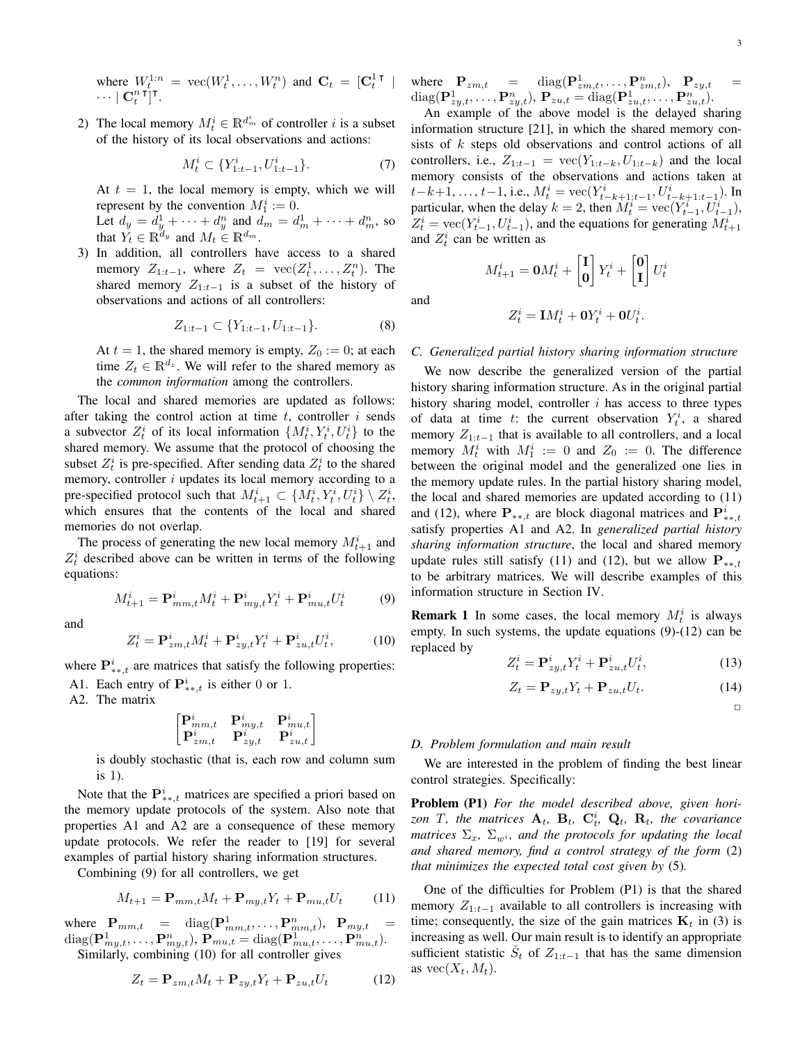2) The local memory  $M_t^i \in \mathbb{R}^{d_m^i}$  of controller *i* is a subset of the history of its local observations and actions:

$$
M_t^i \subset \{Y_{1:t-1}^i, U_{1:t-1}^i\}.\tag{7}
$$

At  $t = 1$ , the local memory is empty, which we will represent by the convention  $M_1^i := 0$ .

Let  $d_y = d_y^1 + \cdots + d_y^n$  and  $d_m = d_m^1 + \cdots + d_m^n$ , so that  $Y_t \in \mathbb{R}^{d_y}$  and  $M_t \in \mathbb{R}^{d_m}$ .

3) In addition, all controllers have access to a shared memory  $Z_{1:t-1}$ , where  $Z_t = \text{vec}(Z_t^1, \dots, Z_t^n)$ . The shared memory  $Z_{1:t-1}$  is a subset of the history of observations and actions of all controllers:

$$
Z_{1:t-1} \subset \{Y_{1:t-1}, U_{1:t-1}\}.
$$
 (8)

At  $t = 1$ , the shared memory is empty,  $Z_0 := 0$ ; at each time  $Z_t \in \mathbb{R}^{d_z}$ . We will refer to the shared memory as the *common information* among the controllers.

The local and shared memories are updated as follows: after taking the control action at time  $t$ , controller  $i$  sends a subvector  $Z_t^i$  of its local information  $\{M_t^i, Y_t^i, U_t^i\}$  to the shared memory. We assume that the protocol of choosing the subset  $Z_t^i$  is pre-specified. After sending data  $Z_t^i$  to the shared memory, controller  $i$  updates its local memory according to a pre-specified protocol such that  $M_{t+1}^i \subset \{M_t^i, Y_t^i, U_t^i\} \setminus Z_t^i$ , which ensures that the contents of the local and shared memories do not overlap.

The process of generating the new local memory  $M_{t+1}^i$  and  $Z_t^i$  described above can be written in terms of the following equations:

$$
M_{t+1}^i = \mathbf{P}_{mm,t}^i M_t^i + \mathbf{P}_{my,t}^i Y_t^i + \mathbf{P}_{mu,t}^i U_t^i \tag{9}
$$

and

$$
Z_t^i = \mathbf{P}_{zm,t}^i M_t^i + \mathbf{P}_{zy,t}^i Y_t^i + \mathbf{P}_{zu,t}^i U_t^i, \tag{10}
$$

where  $\mathbf{P}_{*,t}^{i}$  are matrices that satisfy the following properties:

A1. Each entry of  $\mathbf{P}_{**,t}^i$  is either 0 or 1.

A2. The matrix

$$
\begin{bmatrix} \mathbf{P}^i_{mm,t} & \mathbf{P}^i_{my,t} & \mathbf{P}^i_{mu,t} \\ \mathbf{P}^i_{zm,t} & \mathbf{P}^i_{zy,t} & \mathbf{P}^i_{zu,t} \end{bmatrix}
$$

is doubly stochastic (that is, each row and column sum is 1).

Note that the  $\mathbf{P}_{*,t}^{i}$  matrices are specified a priori based on the memory update protocols of the system. Also note that properties A1 and A2 are a consequence of these memory update protocols. We refer the reader to [19] for several examples of partial history sharing information structures.

Combining (9) for all controllers, we get

$$
M_{t+1} = \mathbf{P}_{mm,t}M_t + \mathbf{P}_{my,t}Y_t + \mathbf{P}_{mu,t}U_t \tag{11}
$$

where  $\mathbf{P}_{mm,t}$  = diag( $\mathbf{P}_{mm,t}^1, \ldots, \mathbf{P}_{mm,t}^n$ ),  $\mathbf{P}_{my,t}$  =  $\text{diag}(\mathbf{P}^1_{my,t},\dots,\mathbf{P}^n_{my,t}),\, \mathbf{P}_{mu,t} = \text{diag}(\mathbf{P}^1_{mu,t},\dots,\mathbf{P}^n_{mu,t}).$ Similarly, combining (10) for all controller gives

$$
Z_t = \mathbf{P}_{zm,t} M_t + \mathbf{P}_{zy,t} Y_t + \mathbf{P}_{zu,t} U_t \tag{12}
$$

where  $\mathbf{P}_{zm,t}$  = diag( $\mathbf{P}_{zm,t}^1$ , ...,  $\mathbf{P}_{zm,t}^n$ ),  $\mathbf{P}_{zy,t}$  =  $\text{diag}(\mathbf{P}_{zy,t}^1,\ldots,\mathbf{P}_{zy,t}^n),\,\mathbf{P}_{zu,t}=\text{diag}(\mathbf{P}_{zu,t}^1,\ldots,\mathbf{P}_{zu,t}^n).$ 

An example of the above model is the delayed sharing information structure [21], in which the shared memory consists of k steps old observations and control actions of all controllers, i.e.,  $Z_{1:t-1} = \text{vec}(Y_{1:t-k}, U_{1:t-k})$  and the local memory consists of the observations and actions taken at  $t-k+1, \ldots, t-1$ , i.e.,  $M_t^i = \text{vec}(Y_{t-k+1:t-1}^i, U_{t-k+1:t-1}^i)$ . In particular, when the delay  $k = 2$ , then  $M_t^i = \text{vec}(Y_{t-1}^i, U_{t-1}^i)$ ,  $Z_t^i = \text{vec}(Y_{t-1}^i, U_{t-1}^i)$ , and the equations for generating  $M_{t+1}^i$ and  $Z_t^i$  can be written as

and

$$
Z_t^i = \mathbf{I}M_t^i + \mathbf{0}Y_t^i + \mathbf{0}U_t^i.
$$

0

 $\Bigg[Y_t^i+\begin{bmatrix}0\\1\end{bmatrix}$ I  $\Big\} U^i_t$ 

 $M^i_{t+1} = \mathbf{0}M^i_t + \begin{bmatrix} \mathbf{I} \\ \mathbf{0} \end{bmatrix}$ 

#### *C. Generalized partial history sharing information structure*

We now describe the generalized version of the partial history sharing information structure. As in the original partial history sharing model, controller  $i$  has access to three types of data at time t: the current observation  $Y_t^i$ , a shared memory  $Z_{1:t-1}$  that is available to all controllers, and a local memory  $M_t^i$  with  $M_1^i := 0$  and  $Z_0 := 0$ . The difference between the original model and the generalized one lies in the memory update rules. In the partial history sharing model, the local and shared memories are updated according to (11) and (12), where  $P_{**,t}$  are block diagonal matrices and  $P_{**,t}^{i}$ satisfy properties A1 and A2. In *generalized partial history sharing information structure*, the local and shared memory update rules still satisfy (11) and (12), but we allow  $P_{**,t}$ to be arbitrary matrices. We will describe examples of this information structure in Section IV.

**Remark 1** In some cases, the local memory  $M_t^i$  is always empty. In such systems, the update equations (9)-(12) can be replaced by

$$
Z_t^i = \mathbf{P}_{zy,t}^i Y_t^i + \mathbf{P}_{zu,t}^i U_t^i, \tag{13}
$$

$$
Z_t = \mathbf{P}_{zy,t} Y_t + \mathbf{P}_{zu,t} U_t.
$$
 (14)

$$
\qquad \qquad \Box
$$

## *D. Problem formulation and main result*

We are interested in the problem of finding the best linear control strategies. Specifically:

Problem (P1) *For the model described above, given horizon*  $T$ *, the matrices*  $A_t$ *,*  $B_t$ *,*  $C_t^i$ *,*  $Q_t$ *,*  $R_t$ *, the covariance matrices*  $\Sigma_x$ ,  $\Sigma_{w_i}$ *, and the protocols for updating the local and shared memory, find a control strategy of the form* (2) *that minimizes the expected total cost given by* (5)*.*

One of the difficulties for Problem (P1) is that the shared memory  $Z_{1:t-1}$  available to all controllers is increasing with time; consequently, the size of the gain matrices  $K_t$  in (3) is increasing as well. Our main result is to identify an appropriate sufficient statistic  $\check{S}_t$  of  $Z_{1:t-1}$  that has the same dimension as  $\text{vec}(X_t, M_t)$ .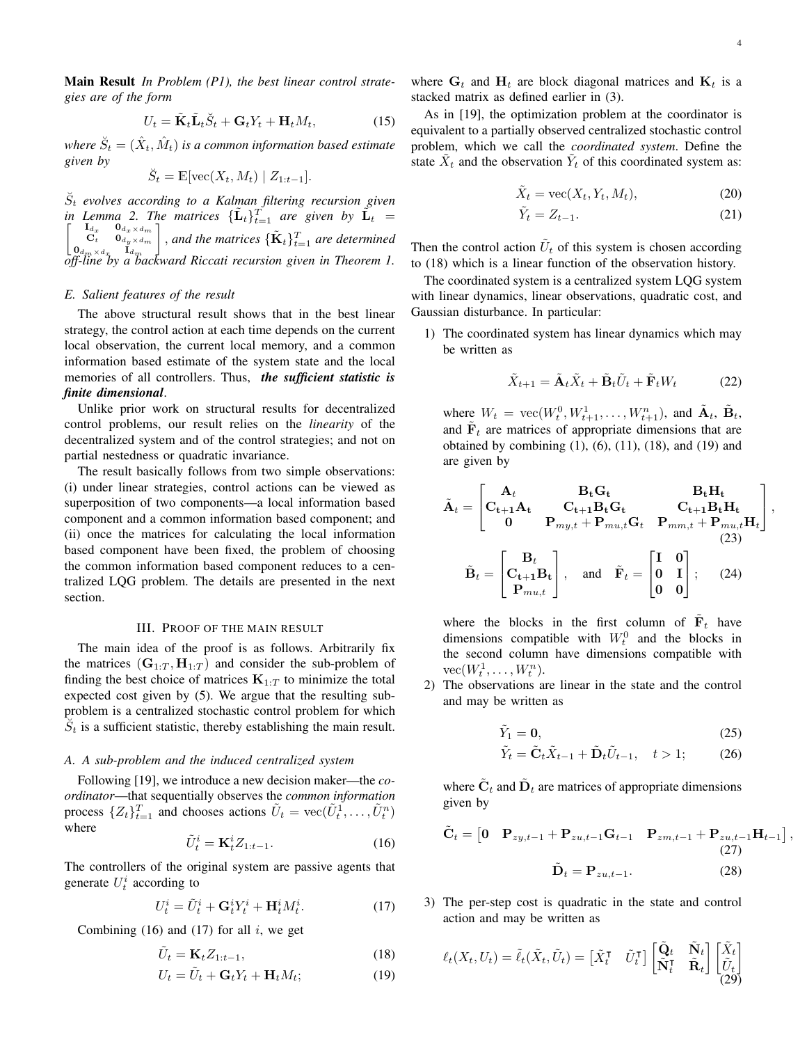Main Result *In Problem (P1), the best linear control strategies are of the form*

$$
U_t = \tilde{\mathbf{K}}_t \tilde{\mathbf{L}}_t \breve{S}_t + \mathbf{G}_t Y_t + \mathbf{H}_t M_t, \tag{15}
$$

where  $\breve{S}_t = (\hat{X}_t, \hat{M}_t)$  is a common information based estimate *given by*

$$
\check{S}_t = \mathbb{E}[\text{vec}(X_t, M_t) | Z_{1:t-1}].
$$

 $\breve{S}_t$  evolves according to a Kalman filtering recursion given in Lemma 2. The matrices  ${\{\tilde{\mathbf{L}}_t\}}_{t=1}^T$  are given by  $\tilde{\mathbf{L}}$ in Lemma 2. The matrices  ${\{\mathbf{L}_t\}}_{t=1}^T$  are given by  $\mathbf{L}_t$  =  $\mathbf{C}_t$   $\mathbf{0}_{d_y \times d_m}$  $\mathbf{0}_{d_m \times d_x}$   $\check{\mathbf{I}}_{d_m}$  $\Big]$  , and the matrices  $\{\tilde{{\bf K}}_t\}_{t=1}^T$  are determined *off-line by a backward Riccati recursion given in Theorem 1.*

#### *E. Salient features of the result*

The above structural result shows that in the best linear strategy, the control action at each time depends on the current local observation, the current local memory, and a common information based estimate of the system state and the local memories of all controllers. Thus, *the sufficient statistic is finite dimensional*.

Unlike prior work on structural results for decentralized control problems, our result relies on the *linearity* of the decentralized system and of the control strategies; and not on partial nestedness or quadratic invariance.

The result basically follows from two simple observations: (i) under linear strategies, control actions can be viewed as superposition of two components—a local information based component and a common information based component; and (ii) once the matrices for calculating the local information based component have been fixed, the problem of choosing the common information based component reduces to a centralized LQG problem. The details are presented in the next section.

## III. PROOF OF THE MAIN RESULT

The main idea of the proof is as follows. Arbitrarily fix the matrices  $(G_{1:T}, H_{1:T})$  and consider the sub-problem of finding the best choice of matrices  $\mathbf{K}_{1:T}$  to minimize the total expected cost given by (5). We argue that the resulting subproblem is a centralized stochastic control problem for which  $\check{S}_t$  is a sufficient statistic, thereby establishing the main result.

## *A. A sub-problem and the induced centralized system*

Following [19], we introduce a new decision maker—the *coordinator*—that sequentially observes the *common information* process  $\{Z_t\}_{t=1}^T$  and chooses actions  $\tilde{U}_t = \text{vec}(\tilde{U}_t^1, \dots, \tilde{U}_t^n)$ where

$$
\tilde{U}_t^i = \mathbf{K}_t^i Z_{1:t-1}.
$$
 (16)

The controllers of the original system are passive agents that generate  $U_t^i$  according to

$$
U_t^i = \tilde{U}_t^i + \mathbf{G}_t^i Y_t^i + \mathbf{H}_t^i M_t^i.
$$
 (17)

Combining (16) and (17) for all  $i$ , we get

$$
\tilde{U}_t = \mathbf{K}_t Z_{1:t-1},\tag{18}
$$

$$
U_t = \tilde{U}_t + \mathbf{G}_t Y_t + \mathbf{H}_t M_t; \tag{19}
$$

where  $G_t$  and  $H_t$  are block diagonal matrices and  $K_t$  is a stacked matrix as defined earlier in (3).

As in [19], the optimization problem at the coordinator is equivalent to a partially observed centralized stochastic control problem, which we call the *coordinated system*. Define the state  $\tilde{X}_t$  and the observation  $\tilde{Y}_t$  of this coordinated system as:

$$
\tilde{X}_t = \text{vec}(X_t, Y_t, M_t),\tag{20}
$$

$$
\tilde{Y}_t = Z_{t-1}.\tag{21}
$$

Then the control action  $\tilde{U}_t$  of this system is chosen according to (18) which is a linear function of the observation history.

The coordinated system is a centralized system LQG system with linear dynamics, linear observations, quadratic cost, and Gaussian disturbance. In particular:

1) The coordinated system has linear dynamics which may be written as

$$
\tilde{X}_{t+1} = \tilde{\mathbf{A}}_t \tilde{X}_t + \tilde{\mathbf{B}}_t \tilde{U}_t + \tilde{\mathbf{F}}_t W_t \tag{22}
$$

where  $W_t = \text{vec}(W_t^0, W_{t+1}^1, \dots, W_{t+1}^n)$ , and  $\tilde{\mathbf{A}}_t$ ,  $\tilde{\mathbf{B}}_t$ , and  $\tilde{\mathbf{F}}_t$  are matrices of appropriate dimensions that are obtained by combining  $(1)$ ,  $(6)$ ,  $(11)$ ,  $(18)$ , and  $(19)$  and are given by

$$
\tilde{\mathbf{A}}_t = \begin{bmatrix}\n\mathbf{A}_t & \mathbf{B}_t \mathbf{G}_t & \mathbf{B}_t \mathbf{H}_t \\
\mathbf{C}_{t+1} \mathbf{A}_t & \mathbf{C}_{t+1} \mathbf{B}_t \mathbf{G}_t & \mathbf{C}_{t+1} \mathbf{B}_t \mathbf{H}_t \\
\mathbf{0} & \mathbf{P}_{my,t} + \mathbf{P}_{mu,t} \mathbf{G}_t & \mathbf{P}_{mm,t} + \mathbf{P}_{mu,t} \mathbf{H}_t\n\end{bmatrix},
$$
\n
$$
\tilde{\mathbf{B}}_t = \begin{bmatrix}\n\mathbf{B}_t \\
\mathbf{C}_{t+1} \mathbf{B}_t \\
\mathbf{P}_{mu,t}\n\end{bmatrix}, \text{ and } \tilde{\mathbf{F}}_t = \begin{bmatrix}\n\mathbf{I} & \mathbf{0} \\
\mathbf{0} & \mathbf{I} \\
\mathbf{0} & \mathbf{0}\n\end{bmatrix}; \quad (24)
$$

where the blocks in the first column of  $\tilde{F}_t$  have dimensions compatible with  $W_t^0$  and the blocks in the second column have dimensions compatible with  $\mathrm{vec}(W_t^1,\ldots,W_t^n).$ 

2) The observations are linear in the state and the control and may be written as

$$
\tilde{Y}_1 = \mathbf{0},\tag{25}
$$

$$
\tilde{Y}_t = \tilde{\mathbf{C}}_t \tilde{X}_{t-1} + \tilde{\mathbf{D}}_t \tilde{U}_{t-1}, \quad t > 1; \tag{26}
$$

where  $\tilde{\mathbf{C}}_t$  and  $\tilde{\mathbf{D}}_t$  are matrices of appropriate dimensions given by

$$
\tilde{\mathbf{C}}_t = \begin{bmatrix} 0 & \mathbf{P}_{zy,t-1} + \mathbf{P}_{zu,t-1} \mathbf{G}_{t-1} & \mathbf{P}_{zm,t-1} + \mathbf{P}_{zu,t-1} \mathbf{H}_{t-1} \end{bmatrix},
$$
  
\n
$$
\tilde{\mathbf{D}}_t = \mathbf{P}_{zu,t-1}.
$$
 (28)

3) The per-step cost is quadratic in the state and control action and may be written as

$$
\ell_t(X_t, U_t) = \tilde{\ell}_t(\tilde{X}_t, \tilde{U}_t) = \begin{bmatrix} \tilde{X}_t^{\mathsf{T}} & \tilde{U}_t^{\mathsf{T}} \end{bmatrix} \begin{bmatrix} \tilde{\mathbf{Q}}_t & \tilde{\mathbf{N}}_t \\ \tilde{\mathbf{N}}_t^{\mathsf{T}} & \tilde{\mathbf{R}}_t \end{bmatrix} \begin{bmatrix} \tilde{X}_t \\ \tilde{U}_t \end{bmatrix}
$$
(29)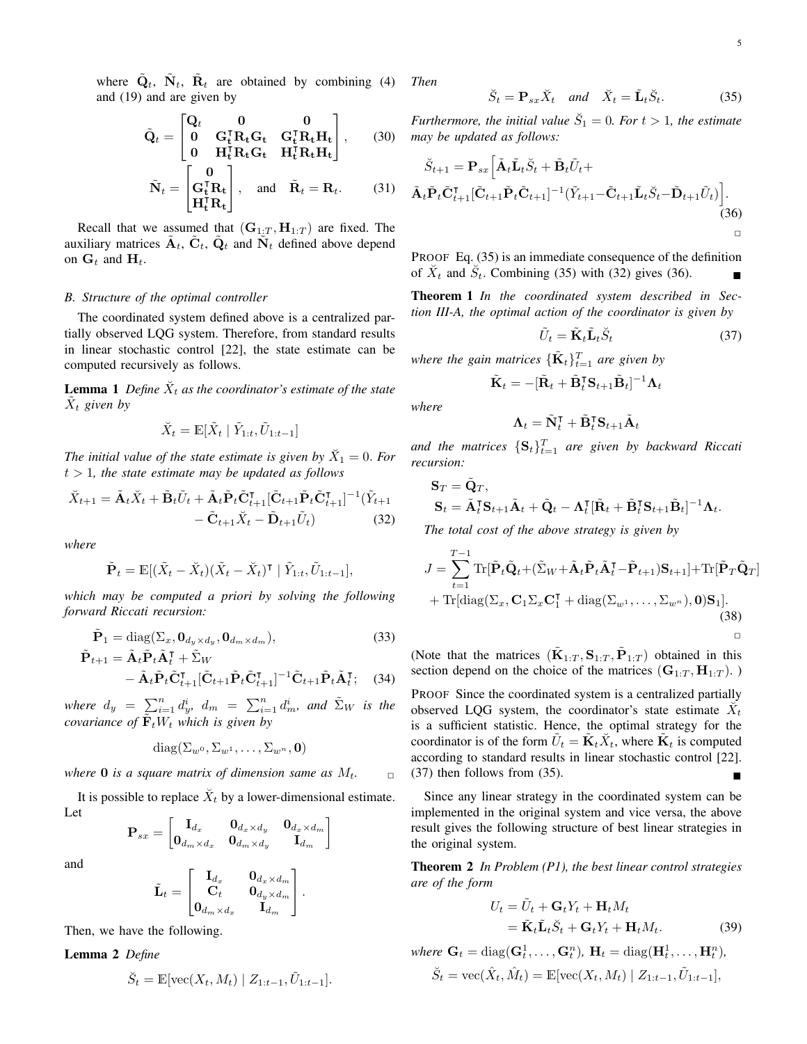where  $\tilde{Q}_t$ ,  $\tilde{N}_t$ ,  $\tilde{R}_t$  are obtained by combining (4) and (19) and are given by

$$
\tilde{\mathbf{Q}}_t = \begin{bmatrix} \mathbf{Q}_t & \mathbf{0} & \mathbf{0} \\ \mathbf{0} & \mathbf{G}_t^{\mathsf{T}} \mathbf{R}_t \mathbf{G}_t & \mathbf{G}_t^{\mathsf{T}} \mathbf{R}_t \mathbf{H}_t \\ \mathbf{0} & \mathbf{H}_t^{\mathsf{T}} \mathbf{R}_t \mathbf{G}_t & \mathbf{H}_t^{\mathsf{T}} \mathbf{R}_t \mathbf{H}_t \end{bmatrix}, \qquad (30)
$$

$$
\tilde{\mathbf{N}}_t = \begin{bmatrix} \mathbf{0} \\ \mathbf{G_t^T} \mathbf{R_t} \\ \mathbf{H_t^T} \mathbf{R_t} \end{bmatrix}, \text{ and } \tilde{\mathbf{R}}_t = \mathbf{R}_t.
$$
 (31)

Recall that we assumed that  $(G_{1:T}, H_{1:T})$  are fixed. The auxiliary matrices  $\tilde{A}_t$ ,  $\tilde{C}_t$ ,  $\tilde{Q}_t$  and  $\tilde{N}_t$  defined above depend on  $G_t$  and  $H_t$ .

## *B. Structure of the optimal controller*

The coordinated system defined above is a centralized partially observed LQG system. Therefore, from standard results in linear stochastic control [22], the state estimate can be computed recursively as follows.

**Lemma 1** Define  $\breve{X}_t$  as the coordinator's estimate of the state  $\tilde{X}_t$  given by

$$
\check{X}_t = \mathbb{E}[\tilde{X}_t \mid \tilde{Y}_{1:t}, \tilde{U}_{1:t-1}]
$$

The initial value of the state estimate is given by  $\breve{X}_1 = 0$ . For  $t > 1$ , the state estimate may be updated as follows

$$
\breve{X}_{t+1} = \tilde{\mathbf{A}}_t \breve{X}_t + \tilde{\mathbf{B}}_t \tilde{U}_t + \tilde{\mathbf{A}}_t \tilde{\mathbf{P}}_t \tilde{\mathbf{C}}_{t+1}^\mathsf{T} [\tilde{\mathbf{C}}_{t+1} \tilde{\mathbf{P}}_t \tilde{\mathbf{C}}_{t+1}^\mathsf{T}]^{-1} (\tilde{Y}_{t+1} - \tilde{\mathbf{C}}_{t+1} \breve{X}_t - \tilde{\mathbf{D}}_{t+1} \tilde{U}_t)
$$
(32)

*where*

$$
\tilde{\mathbf{P}}_t = \mathbb{E}[(\tilde{X}_t - \tilde{X}_t)(\tilde{X}_t - \tilde{X}_t)^{\mathsf{T}} | \tilde{Y}_{1:t}, \tilde{U}_{1:t-1}],
$$

*which may be computed a priori by solving the following forward Riccati recursion:*

$$
\tilde{\mathbf{P}}_1 = \text{diag}(\Sigma_x, \mathbf{0}_{d_y \times d_y}, \mathbf{0}_{d_m \times d_m}),
$$
\n
$$
\tilde{\mathbf{P}}_{t+1} = \tilde{\mathbf{A}}_t \tilde{\mathbf{P}}_t \tilde{\mathbf{A}}_t^{\mathsf{T}} + \tilde{\Sigma}_W
$$
\n
$$
\tilde{\mathbf{A}}_t \tilde{\mathbf{P}}_t \tilde{\mathbf{A}}_t^{\mathsf{T}} + \tilde{\Sigma}_W
$$
\n(33)

$$
-\tilde{\mathbf{A}}_t \tilde{\mathbf{P}}_t \tilde{\mathbf{C}}_{t+1}^\mathsf{T} [\tilde{\mathbf{C}}_{t+1} \tilde{\mathbf{P}}_t \tilde{\mathbf{C}}_{t+1}^\mathsf{T}]^{-1} \tilde{\mathbf{C}}_{t+1} \tilde{\mathbf{P}}_t \tilde{\mathbf{A}}_t^\mathsf{T};\quad(34)
$$

*where*  $d_y = \sum_{i=1}^n d_y^i$ ,  $d_m = \sum_{i=1}^n d_m^i$ , and  $\tilde{\Sigma}_W$  *is the covariance of*  $\tilde{\mathbf{F}}_t W_t$  which is given by

$$
\mathrm{diag}(\Sigma_{w^0},\Sigma_{w^1},\ldots,\Sigma_{w^n},\mathbf{0})
$$

*where* **0** *is a square matrix of dimension same as*  $M_t$ .

It is possible to replace  $\breve{X}_t$  by a lower-dimensional estimate. Let

$$
\mathbf{P}_{sx} = \begin{bmatrix} \mathbf{I}_{d_x} & \mathbf{0}_{d_x \times d_y} & \mathbf{0}_{d_x \times d_m} \\ \mathbf{0}_{d_m \times d_x} & \mathbf{0}_{d_m \times d_y} & \mathbf{I}_{d_m} \end{bmatrix}
$$

and

$$
\tilde{\mathbf{L}}_t = \begin{bmatrix} \mathbf{I}_{d_x} & \mathbf{0}_{d_x \times d_m} \\ \mathbf{C}_t & \mathbf{0}_{d_y \times d_m} \\ \mathbf{0}_{d_m \times d_x} & \mathbf{I}_{d_m} \end{bmatrix}.
$$

Then, we have the following.

Lemma 2 *Define*

$$
\check{S}_t = \mathbb{E}[\text{vec}(X_t, M_t) | Z_{1:t-1}, \tilde{U}_{1:t-1}].
$$

*Then*

$$
\breve{S}_t = \mathbf{P}_{sx} \breve{X}_t \quad \text{and} \quad \breve{X}_t = \tilde{\mathbf{L}}_t \breve{S}_t. \tag{35}
$$

*Furthermore, the initial value*  $\check{S}_1 = 0$ *. For*  $t > 1$ *, the estimate may be updated as follows:*

$$
\breve{S}_{t+1} = \mathbf{P}_{sx} \Big[ \tilde{\mathbf{A}}_t \tilde{\mathbf{L}}_t \breve{S}_t + \tilde{\mathbf{B}}_t \tilde{U}_t + \n\tilde{\mathbf{A}}_t \tilde{\mathbf{P}}_t \tilde{\mathbf{C}}_{t+1}^{\mathsf{T}} [\tilde{\mathbf{C}}_{t+1} \tilde{\mathbf{P}}_t \tilde{\mathbf{C}}_{t+1}]^{-1} (\tilde{Y}_{t+1} - \tilde{\mathbf{C}}_{t+1} \tilde{\mathbf{L}}_t \breve{S}_t - \tilde{\mathbf{D}}_{t+1} \tilde{U}_t) \Big].
$$
\n(36)

PROOF Eq. (35) is an immediate consequence of the definition of  $\check{X}_t$  and  $\check{S}_t$ . Combining (35) with (32) gives (36).

Theorem 1 *In the coordinated system described in Section III-A, the optimal action of the coordinator is given by*

$$
\tilde{U}_t = \tilde{\mathbf{K}}_t \tilde{\mathbf{L}}_t \breve{S}_t \tag{37}
$$

where the gain matrices  $\{\tilde{{\bf K}}_t\}_{t=1}^T$  are given by

$$
\tilde{\mathbf{K}}_t = -[\tilde{\mathbf{R}}_t + \tilde{\mathbf{B}}_t^\intercal \mathbf{S}_{t+1} \tilde{\mathbf{B}}_t]^{-1} \boldsymbol{\Lambda}_t
$$

*where*

$$
\boldsymbol{\Lambda}_t = \tilde{\mathbf{N}}_t^{\mathsf{T}} + \tilde{\mathbf{B}}_t^{\mathsf{T}} \mathbf{S}_{t+1} \tilde{\mathbf{A}}_t
$$

and the matrices  $\{{\bf S}_t\}_{t=1}^T$  are given by backward Riccati *recursion:*

$$
\begin{aligned} \mathbf{S}_T &= \tilde{\mathbf{Q}}_T, \\ \mathbf{S}_t &= \tilde{\mathbf{A}}_t^{\mathsf{T}} \mathbf{S}_{t+1} \tilde{\mathbf{A}}_t + \tilde{\mathbf{Q}}_t - \mathbf{\Lambda}_t^{\mathsf{T}} [\tilde{\mathbf{R}}_t + \tilde{\mathbf{B}}_t^{\mathsf{T}} \mathbf{S}_{t+1} \tilde{\mathbf{B}}_t]^{-1} \mathbf{\Lambda}_t. \end{aligned}
$$

*The total cost of the above strategy is given by*

$$
J = \sum_{t=1}^{T-1} \text{Tr}[\tilde{\mathbf{P}}_t \tilde{\mathbf{Q}}_t + (\tilde{\Sigma}_W + \tilde{\mathbf{A}}_t \tilde{\mathbf{P}}_t \tilde{\mathbf{A}}_t^\mathsf{T} - \tilde{\mathbf{P}}_{t+1}) \mathbf{S}_{t+1}] + \text{Tr}[\tilde{\mathbf{P}}_T \tilde{\mathbf{Q}}_T] + \text{Tr}[\text{diag}(\Sigma_x, \mathbf{C}_1 \Sigma_x \mathbf{C}_1^\mathsf{T} + \text{diag}(\Sigma_{w^1}, \dots, \Sigma_{w^n}), \mathbf{0}) \mathbf{S}_1].
$$
\n(38)

(Note that the matrices  $(\tilde{\mathbf{K}}_{1:T}, \mathbf{S}_{1:T}, \tilde{\mathbf{P}}_{1:T})$  obtained in this section depend on the choice of the matrices  $(G_{1:T}, H_{1:T})$ .

PROOF Since the coordinated system is a centralized partially observed LQG system, the coordinator's state estimate  $\check{X}_t$ is a sufficient statistic. Hence, the optimal strategy for the coordinator is of the form  $\tilde{U}_t = \tilde{\mathbf{K}}_t \tilde{X}_t$ , where  $\tilde{\mathbf{K}}_t$  is computed according to standard results in linear stochastic control [22]. (37) then follows from (35).

Since any linear strategy in the coordinated system can be implemented in the original system and vice versa, the above result gives the following structure of best linear strategies in the original system.

Theorem 2 *In Problem (P1), the best linear control strategies are of the form*

$$
U_t = \tilde{U}_t + \mathbf{G}_t Y_t + \mathbf{H}_t M_t
$$
  
=  $\tilde{\mathbf{K}}_t \tilde{\mathbf{L}}_t \tilde{S}_t + \mathbf{G}_t Y_t + \mathbf{H}_t M_t.$  (39)

where  $\mathbf{G}_t = \text{diag}(\mathbf{G}_t^1, \dots, \mathbf{G}_t^n)$ ,  $\mathbf{H}_t = \text{diag}(\mathbf{H}_t^1, \dots, \mathbf{H}_t^n)$ ,

$$
\check{S}_t = \text{vec}(\hat{X}_t, \hat{M}_t) = \mathbb{E}[\text{vec}(X_t, M_t) | Z_{1:t-1}, \tilde{U}_{1:t-1}],
$$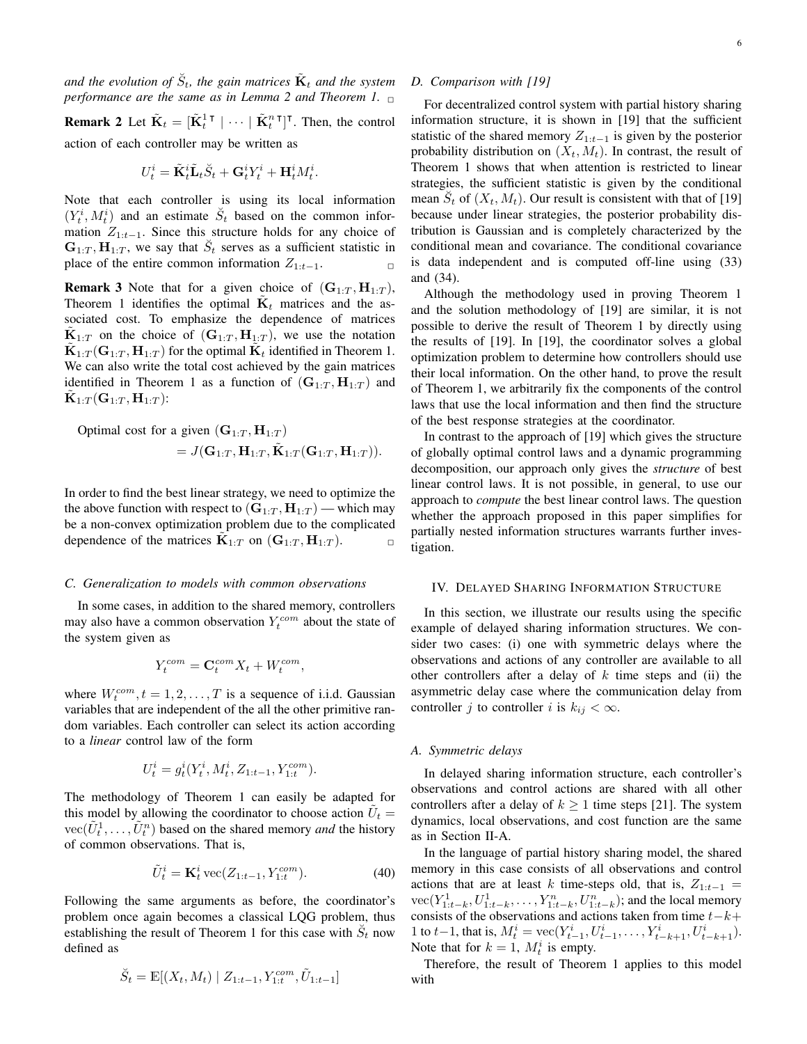and the evolution of  $\breve{S}_t$ , the gain matrices  $\tilde{\mathbf{K}}_t$  and the system *performance are the same as in Lemma 2 and Theorem 1.*  $\Box$ 

**Remark 2** Let  $\tilde{\mathbf{K}}_t = [\tilde{\mathbf{K}}_t^1^\top | \cdots | \tilde{\mathbf{K}}_t^n]^\top$ . Then, the control

action of each controller may be written as

$$
U_t^i = \tilde{\mathbf{K}}_t^i \tilde{\mathbf{L}}_t \breve{S}_t + \mathbf{G}_t^i Y_t^i + \mathbf{H}_t^i M_t^i
$$

.

Note that each controller is using its local information  $(Y_t^i, M_t^i)$  and an estimate  $\check{S}_t$  based on the common information  $Z_{1:t-1}$ . Since this structure holds for any choice of  $G_{1:T}, H_{1:T}$ , we say that  $\check{S}_t$  serves as a sufficient statistic in place of the entire common information  $Z_{1:t-1}$ .

**Remark 3** Note that for a given choice of  $(G_{1:T}, H_{1:T})$ , Theorem 1 identifies the optimal  $\tilde{\mathbf{K}}_t$  matrices and the associated cost. To emphasize the dependence of matrices  $\tilde{\mathbf{K}}_{1:T}$  on the choice of  $(\mathbf{G}_{1:T}, \mathbf{H}_{1:T})$ , we use the notation  $\tilde{\mathbf{K}}_{1:T}(\mathbf{G}_{1:T}, \mathbf{H}_{1:T})$  for the optimal  $\tilde{\mathbf{K}}_t$  identified in Theorem 1. We can also write the total cost achieved by the gain matrices identified in Theorem 1 as a function of  $(G_{1:T}, H_{1:T})$  and  $\tilde{\textbf{K}}_{1:T}(\textbf{G}_{1:T}, \textbf{H}_{1:T})$ :

Optimal cost for a given 
$$
(\mathbf{G}_{1:T}, \mathbf{H}_{1:T})
$$
  
=  $J(\mathbf{G}_{1:T}, \mathbf{H}_{1:T}, \tilde{\mathbf{K}}_{1:T}(\mathbf{G}_{1:T}, \mathbf{H}_{1:T})).$ 

In order to find the best linear strategy, we need to optimize the the above function with respect to  $(G_{1:T}, H_{1:T})$  — which may be a non-convex optimization problem due to the complicated dependence of the matrices  $\tilde{\mathbf{K}}_{1:T}$  on  $(\mathbf{G}_{1:T}, \mathbf{H}_{1:T})$ .

#### *C. Generalization to models with common observations*

In some cases, in addition to the shared memory, controllers may also have a common observation  $Y_t^{com}$  about the state of the system given as

$$
Y_t^{com} = \mathbf{C}_t^{com} X_t + W_t^{com},
$$

where  $W_t^{com}, t = 1, 2, ..., T$  is a sequence of i.i.d. Gaussian variables that are independent of the all the other primitive random variables. Each controller can select its action according to a *linear* control law of the form

$$
U_t^i = g_t^i(Y_t^i, M_t^i, Z_{1:t-1}, Y_{1:t}^{com}).
$$

The methodology of Theorem 1 can easily be adapted for this model by allowing the coordinator to choose action  $\tilde{U}_t$  =  $\text{vec}(\tilde{U}_t^1, \dots, \tilde{U}_t^n)$  based on the shared memory *and* the history of common observations. That is,

$$
\tilde{U}_t^i = \mathbf{K}_t^i \, \text{vec}(Z_{1:t-1}, Y_{1:t}^{com}). \tag{40}
$$

Following the same arguments as before, the coordinator's problem once again becomes a classical LQG problem, thus establishing the result of Theorem 1 for this case with  $\check{S}_t$  now defined as

$$
\check{S}_t = \mathbb{E}[(X_t, M_t) | Z_{1:t-1}, Y_{1:t}^{com}, \tilde{U}_{1:t-1}]
$$

#### *D. Comparison with [19]*

For decentralized control system with partial history sharing information structure, it is shown in [19] that the sufficient statistic of the shared memory  $Z_{1:t-1}$  is given by the posterior probability distribution on  $(X_t, M_t)$ . In contrast, the result of Theorem 1 shows that when attention is restricted to linear strategies, the sufficient statistic is given by the conditional mean  $\check{S}_t$  of  $(X_t, M_t)$ . Our result is consistent with that of [19] because under linear strategies, the posterior probability distribution is Gaussian and is completely characterized by the conditional mean and covariance. The conditional covariance is data independent and is computed off-line using (33) and (34).

Although the methodology used in proving Theorem 1 and the solution methodology of [19] are similar, it is not possible to derive the result of Theorem 1 by directly using the results of [19]. In [19], the coordinator solves a global optimization problem to determine how controllers should use their local information. On the other hand, to prove the result of Theorem 1, we arbitrarily fix the components of the control laws that use the local information and then find the structure of the best response strategies at the coordinator.

In contrast to the approach of [19] which gives the structure of globally optimal control laws and a dynamic programming decomposition, our approach only gives the *structure* of best linear control laws. It is not possible, in general, to use our approach to *compute* the best linear control laws. The question whether the approach proposed in this paper simplifies for partially nested information structures warrants further investigation.

## IV. DELAYED SHARING INFORMATION STRUCTURE

In this section, we illustrate our results using the specific example of delayed sharing information structures. We consider two cases: (i) one with symmetric delays where the observations and actions of any controller are available to all other controllers after a delay of  $k$  time steps and (ii) the asymmetric delay case where the communication delay from controller j to controller i is  $k_{ij} < \infty$ .

#### *A. Symmetric delays*

In delayed sharing information structure, each controller's observations and control actions are shared with all other controllers after a delay of  $k \ge 1$  time steps [21]. The system dynamics, local observations, and cost function are the same as in Section II-A.

In the language of partial history sharing model, the shared memory in this case consists of all observations and control actions that are at least k time-steps old, that is,  $Z_{1:t-1}$  = vec( $Y_{1:t-k}^1, U_{1:t-k}^1, \ldots, Y_{1:t-k}^n, U_{1:t-k}^n$ ); and the local memory consists of the observations and actions taken from time  $t-k+$ 1 to  $t-1$ , that is,  $M_t^i = \text{vec}(Y_{t-1}^i, U_{t-1}^i, \dots, Y_{t-k+1}^i, U_{t-k+1}^i).$ Note that for  $k = 1$ ,  $M_t^i$  is empty.

Therefore, the result of Theorem 1 applies to this model with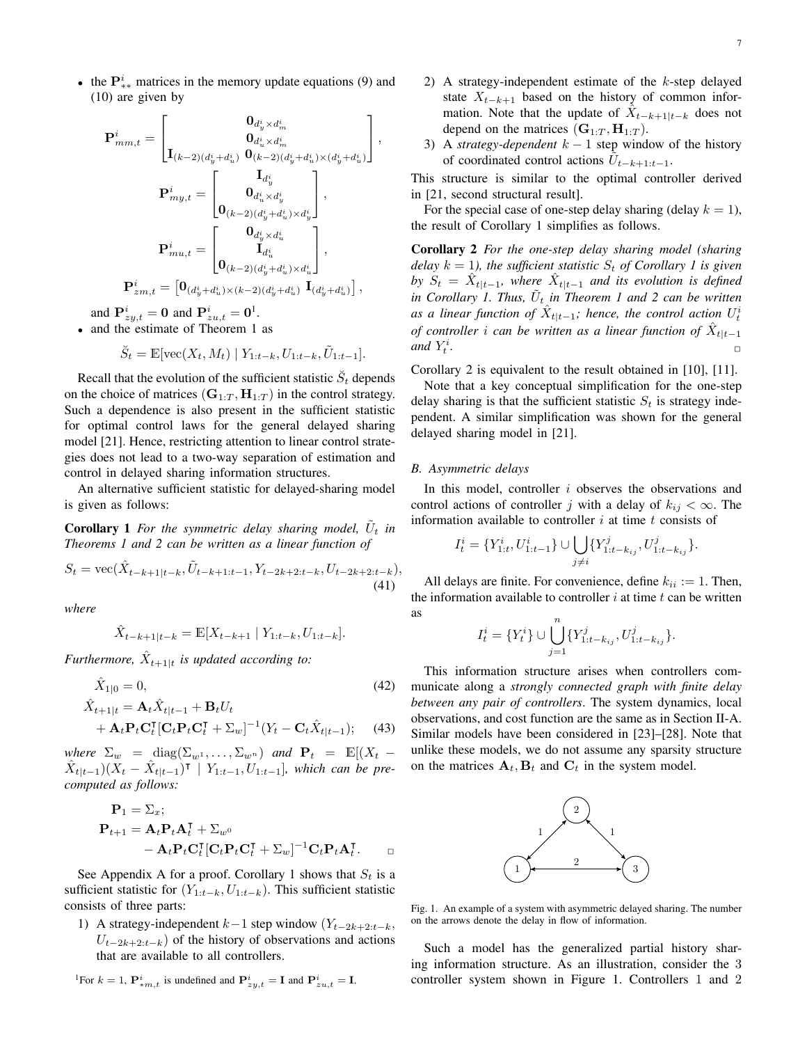• the  $\mathbf{P}_{**}^i$  matrices in the memory update equations (9) and (10) are given by

$$
\label{eq:1} \begin{aligned} \mathbf{P}^i_{mm,t} &= \begin{bmatrix} \mathbf{0}_{d^i_y \times d^i_m} \\ \mathbf{0}_{d^i_u \times d^i_m} \\ \mathbf{I}_{(k-2)(d^i_y+d^i_u)} \ \mathbf{0}_{(k-2)(d^i_y+d^i_u) \times (d^i_y+d^i_u)} \end{bmatrix}, \\ \mathbf{P}^i_{my,t} &= \begin{bmatrix} \mathbf{I}_{d^i_y} \\ \mathbf{0}_{d^i_u \times d^i_y} \\ \mathbf{0}_{(k-2)(d^i_y+d^i_u) \times d^i_y} \end{bmatrix}, \\ \mathbf{P}^i_{mu,t} &= \begin{bmatrix} \mathbf{0}_{d^i_y \times d^i_u} \\ \mathbf{I}_{d^i_u} \\ \mathbf{0}_{(k-2)(d^i_y+d^i_u) \times d^i_u} \end{bmatrix}, \\ \mathbf{P}^i_{zm,t} &= \begin{bmatrix} \mathbf{0}_{(d^i_y+d^i_u) \times (k-2)(d^i_y+d^i_u)} \ \mathbf{I}_{(d^i_y+d^i_u)} \end{bmatrix}, \end{aligned}
$$

and  $\mathbf{P}_{zy,t}^i = \mathbf{0}$  and  $\mathbf{P}_{zu,t}^i = \mathbf{0}^1$ .

• and the estimate of Theorem 1 as

$$
\check{S}_t = \mathbb{E}[\text{vec}(X_t, M_t) | Y_{1:t-k}, U_{1:t-k}, \tilde{U}_{1:t-1}].
$$

Recall that the evolution of the sufficient statistic  $\breve{S}_t$  depends on the choice of matrices  $(G_{1:T}, H_{1:T})$  in the control strategy. Such a dependence is also present in the sufficient statistic for optimal control laws for the general delayed sharing model [21]. Hence, restricting attention to linear control strategies does not lead to a two-way separation of estimation and control in delayed sharing information structures.

An alternative sufficient statistic for delayed-sharing model is given as follows:

**Corollary 1** For the symmetric delay sharing model,  $\tilde{U}_t$  in *Theorems 1 and 2 can be written as a linear function of*

$$
S_t = \text{vec}(\hat{X}_{t-k+1|t-k}, \tilde{U}_{t-k+1:t-1}, Y_{t-2k+2:t-k}, U_{t-2k+2:t-k}),
$$
\n(41)

*where*

$$
\hat{X}_{t-k+1|t-k} = \mathbb{E}[X_{t-k+1} | Y_{1:t-k}, U_{1:t-k}].
$$

Furthermore,  $\hat{X}_{t+1|t}$  is updated according to:

$$
\hat{X}_{1|0} = 0,
$$
\n
$$
\hat{X}_{t+1|t} = \mathbf{A}_t \hat{X}_{t|t-1} + \mathbf{B}_t U_t
$$
\n
$$
(42)
$$

$$
+\mathbf{A}_t \mathbf{P}_t \mathbf{C}_t^{\mathsf{T}} [\mathbf{C}_t \mathbf{P}_t \mathbf{C}_t^{\mathsf{T}} + \Sigma_w]^{-1} (Y_t - \mathbf{C}_t \hat{X}_{t|t-1}); \quad (43)
$$

*where*  $\Sigma_w$  = diag( $\Sigma_{w^1}, \ldots, \Sigma_{w^n}$ ) *and*  $P_t$  =  $\mathbb{E}[(X_t \hat{X}_{t|t-1}(X_t - \hat{X}_{t|t-1})$ <sup>T</sup> |  $Y_{1:t-1}, U_{1:t-1}$ ], which can be pre*computed as follows:*

$$
\mathbf{P}_1 = \Sigma_x; \n\mathbf{P}_{t+1} = \mathbf{A}_t \mathbf{P}_t \mathbf{A}_t^{\mathsf{T}} + \Sigma_{w^0} \n- \mathbf{A}_t \mathbf{P}_t \mathbf{C}_t^{\mathsf{T}} [\mathbf{C}_t \mathbf{P}_t \mathbf{C}_t^{\mathsf{T}} + \Sigma_w]^{-1} \mathbf{C}_t \mathbf{P}_t \mathbf{A}_t^{\mathsf{T}}.
$$

See Appendix A for a proof. Corollary 1 shows that  $S_t$  is a sufficient statistic for  $(Y_{1:t-k}, U_{1:t-k})$ . This sufficient statistic consists of three parts:

1) A strategy-independent  $k-1$  step window  $(Y_{t-2k+2:t-k},$  $U_{t-2k+2:t-k}$ ) of the history of observations and actions that are available to all controllers.

<sup>1</sup> For 
$$
k = 1
$$
,  $\mathbf{P}_{*m,t}^i$  is undefined and  $\mathbf{P}_{zy,t}^i = \mathbf{I}$  and  $\mathbf{P}_{zu,t}^i = \mathbf{I}$ .

- 2) A strategy-independent estimate of the  $k$ -step delayed state  $X_{t-k+1}$  based on the history of common information. Note that the update of  $\hat{X}_{t-k+1|t-k}$  does not depend on the matrices  $(G_{1:T}, H_{1:T})$ .
- 3) A *strategy-dependent* k − 1 step window of the history of coordinated control actions  $\tilde{U}_{t-k+1:t-1}$ .

This structure is similar to the optimal controller derived in [21, second structural result].

For the special case of one-step delay sharing (delay  $k = 1$ ), the result of Corollary 1 simplifies as follows.

Corollary 2 *For the one-step delay sharing model (sharing delay*  $k = 1$ *), the sufficient statistic*  $S_t$  *of Corollary 1 is given by*  $S_t = \hat{X}_{t|t-1}$ , where  $\hat{X}_{t|t-1}$  and its evolution is defined in Corollary 1. Thus,  $\tilde{U}_t$  in Theorem 1 and 2 can be written as a linear function of  $\hat{X}_{t|t-1}$ ; hence, the control action  $U_t^i$ *of controller i can be written as a linear function of*  $\hat{X}_{t|t-1}$ and  $Y_t^i$ *.* ✷

Corollary 2 is equivalent to the result obtained in [10], [11].

Note that a key conceptual simplification for the one-step delay sharing is that the sufficient statistic  $S_t$  is strategy independent. A similar simplification was shown for the general delayed sharing model in [21].

## *B. Asymmetric delays*

In this model, controller  $i$  observes the observations and control actions of controller j with a delay of  $k_{ij} < \infty$ . The information available to controller  $i$  at time  $t$  consists of

$$
I_t^i = \{Y_{1:t}^i, U_{1:t-1}^i\} \cup \bigcup_{j \neq i} \{Y_{1:t-k_{ij}}^j, U_{1:t-k_{ij}}^j\}.
$$

All delays are finite. For convenience, define  $k_{ii} := 1$ . Then, the information available to controller  $i$  at time  $t$  can be written as

$$
I_t^i = \{Y_t^i\} \cup \bigcup_{j=1}^n \{Y_{1:t-k_{ij}}^j, U_{1:t-k_{ij}}^j\}.
$$

This information structure arises when controllers communicate along a *strongly connected graph with finite delay between any pair of controllers*. The system dynamics, local observations, and cost function are the same as in Section II-A. Similar models have been considered in [23]–[28]. Note that unlike these models, we do not assume any sparsity structure on the matrices  $A_t$ ,  $B_t$  and  $C_t$  in the system model.



Fig. 1. An example of a system with asymmetric delayed sharing. The number on the arrows denote the delay in flow of information.

Such a model has the generalized partial history sharing information structure. As an illustration, consider the 3 controller system shown in Figure 1. Controllers 1 and 2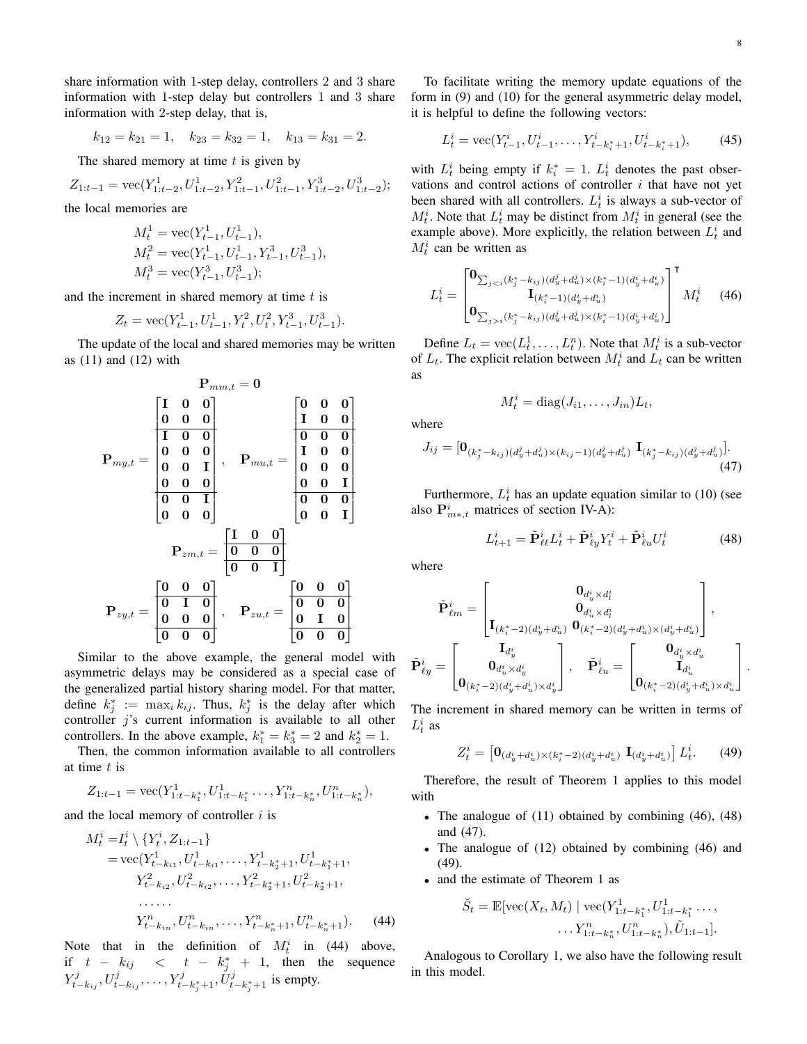share information with 1-step delay, controllers 2 and 3 share information with 1-step delay but controllers 1 and 3 share information with 2-step delay, that is,

$$
k_{12} = k_{21} = 1
$$
,  $k_{23} = k_{32} = 1$ ,  $k_{13} = k_{31} = 2$ .

The shared memory at time  $t$  is given by

$$
Z_{1:t-1} = \text{vec}(Y_{1:t-2}^1, U_{1:t-2}^1, Y_{1:t-1}^2, U_{1:t-1}^2, Y_{1:t-2}^3, U_{1:t-2}^3);
$$

the local memories are

$$
\begin{aligned} &M_t^1 = \text{vec}(Y_{t-1}^1,U_{t-1}^1),\\ &M_t^2 = \text{vec}(Y_{t-1}^1,U_{t-1}^1,Y_{t-1}^3,U_{t-1}^3),\\ &M_t^3 = \text{vec}(Y_{t-1}^3,U_{t-1}^3); \end{aligned}
$$

and the increment in shared memory at time  $t$  is

$$
Z_t = \text{vec}(Y_{t-1}^1, U_{t-1}^1, Y_t^2, U_t^2, Y_{t-1}^3, U_{t-1}^3).
$$

The update of the local and shared memories may be written as (11) and (12) with

$$
\mathbf{P}_{mm,t} = \mathbf{0}
$$
\n
$$
\mathbf{P}_{my,t} = \begin{bmatrix}\n\mathbf{I} & \mathbf{0} & \mathbf{0} \\
\mathbf{0} & \mathbf{0} & \mathbf{0} \\
\mathbf{0} & \mathbf{0} & \mathbf{0} \\
\mathbf{0} & \mathbf{0} & \mathbf{1} \\
\mathbf{0} & \mathbf{0} & \mathbf{0} \\
\mathbf{0} & \mathbf{0} & \mathbf{0} \\
\mathbf{0} & \mathbf{0} & \mathbf{0}\n\end{bmatrix}, \quad \mathbf{P}_{mu,t} = \begin{bmatrix}\n\mathbf{0} & \mathbf{0} & \mathbf{0} \\
\mathbf{I} & \mathbf{0} & \mathbf{0} \\
\mathbf{0} & \mathbf{0} & \mathbf{0} \\
\mathbf{0} & \mathbf{0} & \mathbf{0} \\
\mathbf{0} & \mathbf{0} & \mathbf{0}\n\end{bmatrix}
$$
\n
$$
\mathbf{P}_{zm,t} = \begin{bmatrix}\n\mathbf{I} & \mathbf{0} & \mathbf{0} \\
\mathbf{0} & \mathbf{0} & \mathbf{0} \\
\mathbf{0} & \mathbf{0} & \mathbf{0}\n\end{bmatrix}
$$
\n
$$
\mathbf{P}_{zm,t} = \begin{bmatrix}\n\mathbf{I} & \mathbf{0} & \mathbf{0} \\
\mathbf{0} & \mathbf{0} & \mathbf{0} \\
\mathbf{0} & \mathbf{0} & \mathbf{1}\n\end{bmatrix}, \quad \mathbf{P}_{zu,t} = \begin{bmatrix}\n\mathbf{0} & \mathbf{0} & \mathbf{0} \\
\mathbf{0} & \mathbf{0} & \mathbf{0} \\
\mathbf{0} & \mathbf{0} & \mathbf{0}\n\end{bmatrix}
$$

Similar to the above example, the general model with asymmetric delays may be considered as a special case of the generalized partial history sharing model. For that matter, define  $k_j^* := \max_i k_{ij}$ . Thus,  $k_j^*$  is the delay after which controller  $j$ 's current information is available to all other controllers. In the above example,  $k_1^* = k_3^* = 2$  and  $k_2^* = 1$ .

Then, the common information available to all controllers at time  $t$  is

$$
Z_{1:t-1} = \text{vec}(Y_{1:t-k_1^*}^1, U_{1:t-k_1^*}^1 \dots, Y_{1:t-k_n^*}^n, U_{1:t-k_n^*}^n),
$$

and the local memory of controller  $i$  is

$$
M_t^i = I_t^i \setminus \{Y_t^i, Z_{1:t-1}\}
$$
  
= vec $(Y_{t-k_{i1}}^1, U_{t-k_{i1}}^1, \dots, Y_{t-k_2+1}^1, U_{t-k_1+1}^1,$   

$$
Y_{t-k_{i2}}^2, U_{t-k_{i2}}^2, \dots, Y_{t-k_2+1}^2, U_{t-k_2+1}^2,
$$
  
......  

$$
Y_{t-k_{in}}^n, U_{t-k_{in}}^n, \dots, Y_{t-k_n+1}^n, U_{t-k_n+1}^n).
$$
 (44)

Note that in the definition of  $M_t^i$  in (44) above, if  $t - k_{ij}$  <  $t - k_j^* + 1$ , then the sequence  $Y_{t-k_{ij}}^j, U_{t-k_{ij}}^j, \ldots, Y_{t-k_j^*+1}^j, \tilde{U}_{t-k_j^*+1}^j$  is empty.

To facilitate writing the memory update equations of the form in (9) and (10) for the general asymmetric delay model, it is helpful to define the following vectors:

$$
L_t^i = \text{vec}(Y_{t-1}^i, U_{t-1}^i, \dots, Y_{t-k_i^*+1}^i, U_{t-k_i^*+1}^i),\tag{45}
$$

with  $L_t^i$  being empty if  $k_i^* = 1$ .  $L_t^i$  denotes the past observations and control actions of controller  $i$  that have not yet been shared with all controllers.  $L_t^i$  is always a sub-vector of  $M_t^i$ . Note that  $L_t^i$  may be distinct from  $M_t^i$  in general (see the example above). More explicitly, the relation between  $L_t^i$  and  $M_t^i$  can be written as

$$
L_t^i = \begin{bmatrix} \mathbf{0}_{\sum_{j < i} (k_j^* - k_{ij}) (d_y^j + d_u^j) \times (k_i^* - 1) (d_y^i + d_u^i)} \\ \mathbf{I}_{(k_i^* - 1) (d_y^i + d_u^i)} \\ \mathbf{0}_{\sum_{j > i} (k_j^* - k_{ij}) (d_y^j + d_u^j) \times (k_i^* - 1) (d_y^i + d_u^i)} \end{bmatrix}^\mathsf{T} M_t^i \tag{46}
$$

Define  $L_t = \text{vec}(L_t^1, \dots, L_t^n)$ . Note that  $M_t^i$  is a sub-vector of  $L_t$ . The explicit relation between  $M_t^i$  and  $L_t$  can be written as

$$
M_t^i = \text{diag}(J_{i1}, \ldots, J_{in})L_t,
$$

where

$$
J_{ij} = [\mathbf{0}_{(k_j^* - k_{ij})(d_y^j + d_u^j) \times (k_{ij} - 1)(d_y^j + d_u^j)} \mathbf{I}_{(k_j^* - k_{ij})(d_y^j + d_u^j)}].
$$
\n(47)

Furthermore,  $L_t^i$  has an update equation similar to (10) (see also  $\mathbf{P}_{m*,t}^{i}$  matrices of section IV-A):

$$
L_{t+1}^i = \tilde{\mathbf{P}}_{\ell\ell}^i L_t^i + \tilde{\mathbf{P}}_{\ell y}^i Y_t^i + \tilde{\mathbf{P}}_{\ell u}^i U_t^i \tag{48}
$$

where

$$
\tilde{\mathbf{P}}^i_{\ell m} = \begin{bmatrix} \mathbf{0}_{d^i_y \times d^i_l} \\ \mathbf{0}_{d^i_u \times d^i_l} \\ \mathbf{I}_{(k^*_i - 2)(d^i_y + d^i_u)} \ \mathbf{0}_{(k^*_i - 2)(d^i_y + d^i_u) \times (d^i_y + d^i_u)} \end{bmatrix}, \\ \tilde{\mathbf{P}}^i_{\ell y} = \begin{bmatrix} \mathbf{I}_{d^i_y} \\ \mathbf{0}_{d^i_u \times d^i_y} \\ \mathbf{0}_{(k^*_i - 2)(d^i_y + d^i_u) \times d^i_y} \end{bmatrix}, \quad \tilde{\mathbf{P}}^i_{\ell u} = \begin{bmatrix} \mathbf{0}_{d^i_y \times d^i_u} \\ \mathbf{I}_{d^i_u} \\ \mathbf{0}_{(k^*_i - 2)(d^i_y + d^i_u) \times d^i_u} \end{bmatrix}.
$$

The increment in shared memory can be written in terms of  $L_t^i$  as

$$
Z_t^i = \left[ \mathbf{0}_{(d_y^i + d_u^i) \times (k_i^* - 2)(d_y^i + d_u^i)} \ \mathbf{I}_{(d_y^i + d_u^i)} \right] L_t^i. \tag{49}
$$

Therefore, the result of Theorem 1 applies to this model with

- The analogue of (11) obtained by combining (46), (48) and (47).
- The analogue of (12) obtained by combining (46) and (49).
- and the estimate of Theorem 1 as

$$
\check{S}_t = \mathbb{E}[\text{vec}(X_t, M_t) \mid \text{vec}(Y_{1:t-k_1^*}^1, U_{1:t-k_1^*}^1 \dots, \dots, Y_{1:t-k_n^*}^n, U_{1:t-k_n^*}^n), \tilde{U}_{1:t-1}].
$$

Analogous to Corollary 1, we also have the following result in this model.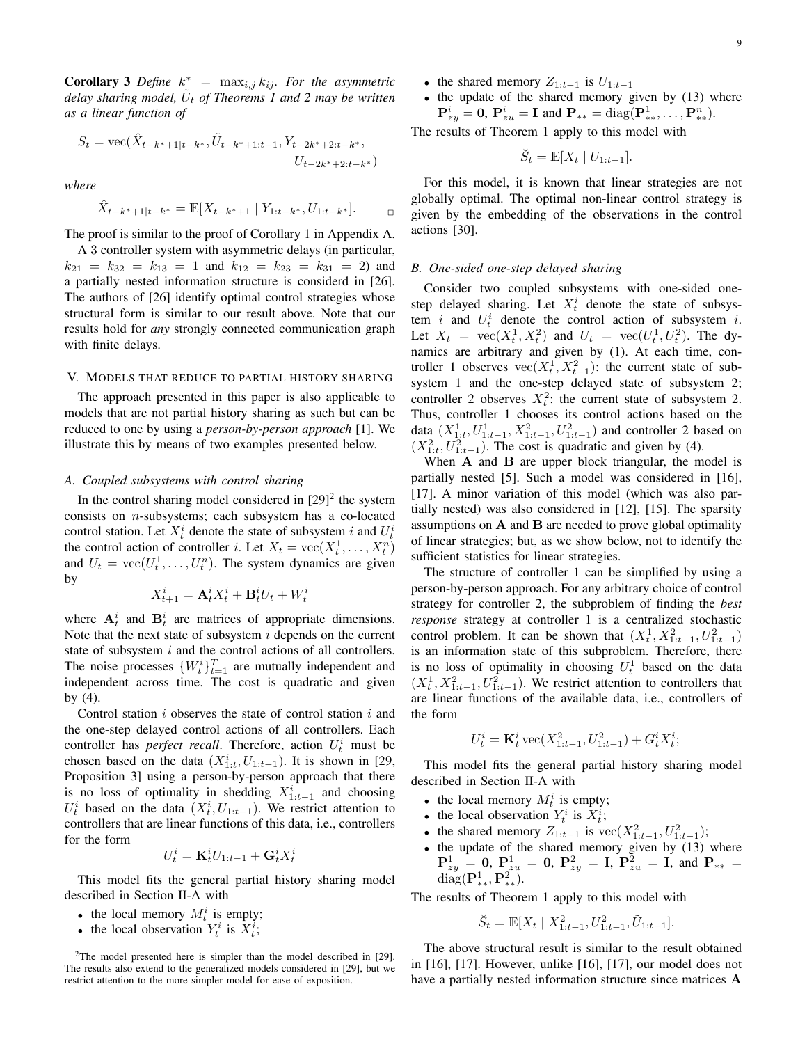**Corollary 3** Define  $k^*$  =  $\max_{i,j} k_{ij}$ . For the asymmetric delay sharing model,  $\tilde{U}_t$  of Theorems 1 and 2 may be written *as a linear function of*

$$
S_t = \text{vec}(\hat{X}_{t-k^*+1|t-k^*}, \tilde{U}_{t-k^*+1:t-1}, Y_{t-2k^*+2:t-k^*},
$$
  

$$
U_{t-2k^*+2:t-k^*})
$$

*where*

$$
\hat{X}_{t-k^*+1|t-k^*} = \mathbb{E}[X_{t-k^*+1} | Y_{1:t-k^*}, U_{1:t-k^*}].
$$

The proof is similar to the proof of Corollary 1 in Appendix A.

A 3 controller system with asymmetric delays (in particular,  $k_{21} = k_{32} = k_{13} = 1$  and  $k_{12} = k_{23} = k_{31} = 2$  and a partially nested information structure is considerd in [26]. The authors of [26] identify optimal control strategies whose structural form is similar to our result above. Note that our results hold for *any* strongly connected communication graph with finite delays.

## V. MODELS THAT REDUCE TO PARTIAL HISTORY SHARING

The approach presented in this paper is also applicable to models that are not partial history sharing as such but can be reduced to one by using a *person-by-person approach* [1]. We illustrate this by means of two examples presented below.

## *A. Coupled subsystems with control sharing*

In the control sharing model considered in  $[29]^2$  the system consists on n-subsystems; each subsystem has a co-located control station. Let  $X_t^i$  denote the state of subsystem i and  $U_t^i$ the control action of controller *i*. Let  $X_t = \text{vec}(X_t^1, \dots, X_t^n)$ and  $U_t = \text{vec}(U_t^1, \dots, U_t^n)$ . The system dynamics are given by

$$
X_{t+1}^i = \mathbf{A}_t^i X_t^i + \mathbf{B}_t^i U_t + W_t^i
$$

where  $A_t^i$  and  $B_t^i$  are matrices of appropriate dimensions. Note that the next state of subsystem  $i$  depends on the current state of subsystem  $i$  and the control actions of all controllers. The noise processes  $\{W_t^i\}_{t=1}^T$  are mutually independent and independent across time. The cost is quadratic and given by (4).

Control station  $i$  observes the state of control station  $i$  and the one-step delayed control actions of all controllers. Each controller has *perfect recall*. Therefore, action  $U_t^i$  must be chosen based on the data  $(X_{1:t}^i, U_{1:t-1})$ . It is shown in [29, Proposition 3] using a person-by-person approach that there is no loss of optimality in shedding  $X_{1:t-1}^i$  and choosing  $U_t^i$  based on the data  $(X_t^i, U_{1:t-1})$ . We restrict attention to controllers that are linear functions of this data, i.e., controllers for the form

$$
U_t^i = \mathbf{K}_t^i U_{1:t-1} + \mathbf{G}_t^i X_t^i
$$

This model fits the general partial history sharing model described in Section II-A with

- the local memory  $M_t^i$  is empty;
- the local observation  $Y_t^i$  is  $X_t^i$ ;

<sup>2</sup>The model presented here is simpler than the model described in [29]. The results also extend to the generalized models considered in [29], but we restrict attention to the more simpler model for ease of exposition.

- the shared memory  $Z_{1:t-1}$  is  $U_{1:t-1}$
- the update of the shared memory given by (13) where  ${\bf P}^i_{zy}={\bf 0},\,{\bf P}^i_{zu}={\bf I}$  and  ${\bf P}_{**}={\rm diag}({\bf P}^1_{**},\ldots,{\bf P}^n_{**}).$

The results of Theorem 1 apply to this model with

$$
\check{S}_t = \mathbb{E}[X_t \mid U_{1:t-1}].
$$

For this model, it is known that linear strategies are not globally optimal. The optimal non-linear control strategy is given by the embedding of the observations in the control actions [30].

## *B. One-sided one-step delayed sharing*

Consider two coupled subsystems with one-sided onestep delayed sharing. Let  $X_t^i$  denote the state of subsystem *i* and  $U_t^i$  denote the control action of subsystem *i*. Let  $X_t = \text{vec}(X_t^1, X_t^2)$  and  $U_t = \text{vec}(U_t^1, U_t^2)$ . The dynamics are arbitrary and given by (1). At each time, controller 1 observes  $\text{vec}(X_t^1, X_{t-1}^2)$ : the current state of subsystem 1 and the one-step delayed state of subsystem 2; controller 2 observes  $X_t^2$ : the current state of subsystem 2. Thus, controller 1 chooses its control actions based on the data  $(X_{1:t}^1, U_{1:t-1}^1, X_{1:t-1}^2, U_{1:t-1}^2)$  and controller 2 based on  $(X_{1:t}^2, U_{1:t-1}^2)$ . The cost is quadratic and given by (4).

When  $A$  and  $B$  are upper block triangular, the model is partially nested [5]. Such a model was considered in [16], [17]. A minor variation of this model (which was also partially nested) was also considered in [12], [15]. The sparsity assumptions on  $A$  and  $B$  are needed to prove global optimality of linear strategies; but, as we show below, not to identify the sufficient statistics for linear strategies.

The structure of controller 1 can be simplified by using a person-by-person approach. For any arbitrary choice of control strategy for controller 2, the subproblem of finding the *best response* strategy at controller 1 is a centralized stochastic control problem. It can be shown that  $(X_t^1, X_{1:t-1}^2, U_{1:t-1}^2)$ is an information state of this subproblem. Therefore, there is no loss of optimality in choosing  $U_t^1$  based on the data  $(X_t^1, X_{1:t-1}^2, U_{1:t-1}^2)$ . We restrict attention to controllers that are linear functions of the available data, i.e., controllers of the form

$$
U_t^i = \mathbf{K}_t^i \operatorname{vec}(X_{1:t-1}^2, U_{1:t-1}^2) + G_t^i X_t^i;
$$

This model fits the general partial history sharing model described in Section II-A with

- the local memory  $M_t^i$  is empty;
- the local observation  $Y_t^i$  is  $X_t^i$ ;
- the shared memory  $Z_{1:t-1}$  is  $\text{vec}(X_{1:t-1}^2, U_{1:t-1}^2);$
- the update of the shared memory given by (13) where  ${\bf P}^1_{zy}\,=\, {\bf 0},\; {\bf P}^1_{zu}\,=\, {\bf 0},\; {\bf P}^2_{zy}\,=\, {\bf I},\; {\bf P}^2_{zu}\,=\, {\bf I},\; {\rm and}\; \mathbf{P}_{**}\,=\,$  $\text{diag}(\mathbf{P}_{**}^1, \mathbf{P}_{**}^2).$

The results of Theorem 1 apply to this model with

$$
\breve{S}_t = \mathbb{E}[X_t \mid X_{1:t-1}^2, U_{1:t-1}^2, \tilde{U}_{1:t-1}].
$$

The above structural result is similar to the result obtained in [16], [17]. However, unlike [16], [17], our model does not have a partially nested information structure since matrices A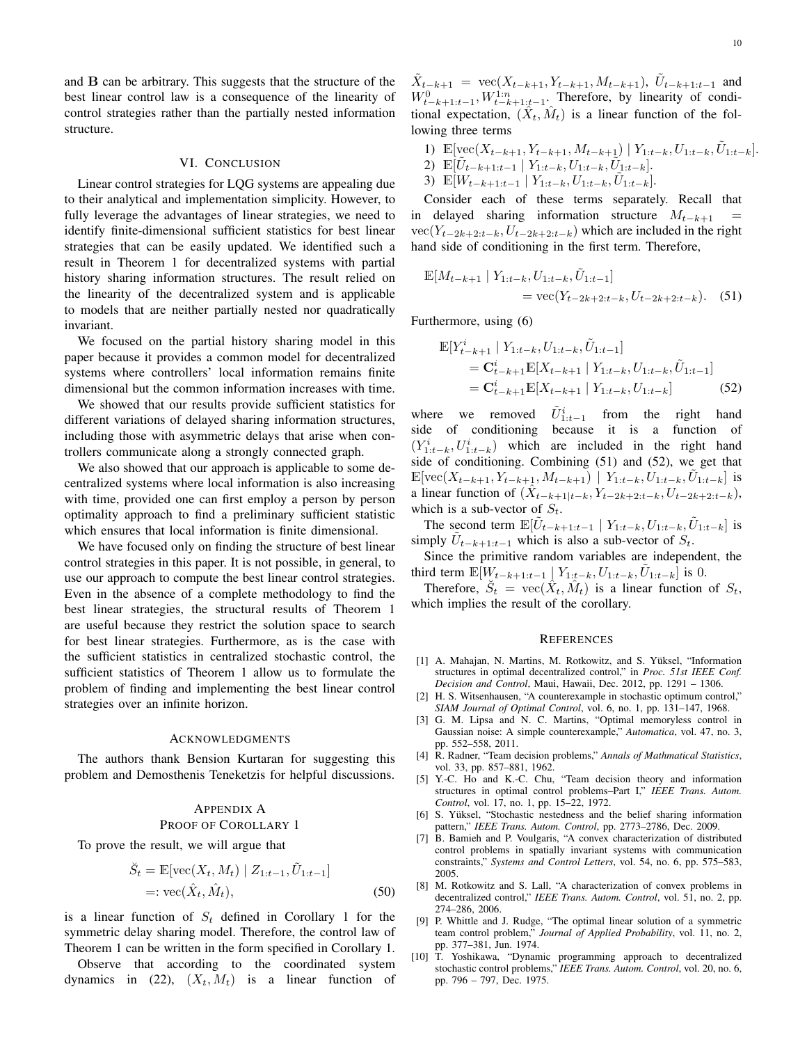and B can be arbitrary. This suggests that the structure of the best linear control law is a consequence of the linearity of control strategies rather than the partially nested information structure.

#### VI. CONCLUSION

Linear control strategies for LQG systems are appealing due to their analytical and implementation simplicity. However, to fully leverage the advantages of linear strategies, we need to identify finite-dimensional sufficient statistics for best linear strategies that can be easily updated. We identified such a result in Theorem 1 for decentralized systems with partial history sharing information structures. The result relied on the linearity of the decentralized system and is applicable to models that are neither partially nested nor quadratically invariant.

We focused on the partial history sharing model in this paper because it provides a common model for decentralized systems where controllers' local information remains finite dimensional but the common information increases with time.

We showed that our results provide sufficient statistics for different variations of delayed sharing information structures, including those with asymmetric delays that arise when controllers communicate along a strongly connected graph.

We also showed that our approach is applicable to some decentralized systems where local information is also increasing with time, provided one can first employ a person by person optimality approach to find a preliminary sufficient statistic which ensures that local information is finite dimensional.

We have focused only on finding the structure of best linear control strategies in this paper. It is not possible, in general, to use our approach to compute the best linear control strategies. Even in the absence of a complete methodology to find the best linear strategies, the structural results of Theorem 1 are useful because they restrict the solution space to search for best linear strategies. Furthermore, as is the case with the sufficient statistics in centralized stochastic control, the sufficient statistics of Theorem 1 allow us to formulate the problem of finding and implementing the best linear control strategies over an infinite horizon.

## ACKNOWLEDGMENTS

The authors thank Bension Kurtaran for suggesting this problem and Demosthenis Teneketzis for helpful discussions.

## APPENDIX A

## PROOF OF COROLLARY 1

To prove the result, we will argue that

$$
\check{S}_t = \mathbb{E}[\text{vec}(X_t, M_t) | Z_{1:t-1}, \tilde{U}_{1:t-1}] \n=: \text{vec}(\hat{X}_t, \hat{M}_t),
$$
\n(50)

is a linear function of  $S_t$  defined in Corollary 1 for the symmetric delay sharing model. Therefore, the control law of Theorem 1 can be written in the form specified in Corollary 1.

Observe that according to the coordinated system dynamics in (22),  $(X_t, M_t)$  is a linear function of

 $\tilde{X}_{t-k+1} = \text{vec}(X_{t-k+1}, Y_{t-k+1}, M_{t-k+1})$ ,  $\tilde{U}_{t-k+1:t-1}$  and  $W_{t-k+1:t-1}^{0}, W_{t-k+1:t-1}^{1:n}$ . Therefore, by linearity of conditional expectation,  $(\hat{X}_t, \hat{M}_t)$  is a linear function of the following three terms

- 1) E[vec( $X_{t-k+1}, Y_{t-k+1}, M_{t-k+1}$ ) |  $Y_{1:t-k}, U_{1:t-k}, \tilde{U}_{1:t-k}$ ]. 2)  $\mathbb{E}[\tilde{U}_{t-k+1:t-1} | Y_{1:t-k}, U_{1:t-k}, \tilde{U}_{1:t-k}].$
- 3)  $\mathbb{E}[W_{t-k+1:t-1} | Y_{1:t-k}, U_{1:t-k}, \tilde{U}_{1:t-k}].$

Consider each of these terms separately. Recall that in delayed sharing information structure  $M_{t-k+1}$  $\text{vec}(Y_{t-2k+2:t-k}, U_{t-2k+2:t-k})$  which are included in the right hand side of conditioning in the first term. Therefore,

$$
\mathbb{E}[M_{t-k+1} | Y_{1:t-k}, U_{1:t-k}, \tilde{U}_{1:t-1}]
$$
  
= vec(Y\_{t-2k+2:t-k}, U\_{t-2k+2:t-k}). (51)

Furthermore, using (6)

$$
\mathbb{E}[Y_{t-k+1}^i | Y_{1:t-k}, U_{1:t-k}, \tilde{U}_{1:t-1}]
$$
\n
$$
= \mathbf{C}_{t-k+1}^i \mathbb{E}[X_{t-k+1} | Y_{1:t-k}, U_{1:t-k}, \tilde{U}_{1:t-1}]
$$
\n
$$
= \mathbf{C}_{t-k+1}^i \mathbb{E}[X_{t-k+1} | Y_{1:t-k}, U_{1:t-k}]
$$
\n(52)

where we removed  $\tilde{U}_{1:t-1}^i$  from the right hand side of conditioning because it is a function of  $(Y_{1:t-k}^i, U_{1:t-k}^i)$  which are included in the right hand side of conditioning. Combining (51) and (52), we get that  $\mathbb{E}[\text{vec}(X_{t-k+1}, Y_{t-k+1}, M_{t-k+1}) | Y_{1:t-k}, U_{1:t-k}, \tilde{U}_{1:t-k}]$  is a linear function of  $(\hat{X}_{t-k+1|t-k}, Y_{t-2k+2:t-k}, U_{t-2k+2:t-k}),$ which is a sub-vector of  $S_t$ .

The second term  $\mathbb{E}[\tilde{U}_{t-k+1:t-1} | Y_{1:t-k}, U_{1:t-k}, \tilde{U}_{1:t-k}]$  is simply  $\tilde{U}_{t-k+1:t-1}$  which is also a sub-vector of  $S_t$ .

Since the primitive random variables are independent, the third term  $\mathbb{E}[W_{t-k+1:t-1} | Y_{1:t-k}, U_{1:t-k}, \tilde{U}_{1:t-k}]$  is 0.

Therefore,  $\check{S}_t = \text{vec}(\hat{X}_t, \hat{M}_t)$  is a linear function of  $S_t$ , which implies the result of the corollary.

#### **REFERENCES**

- [1] A. Mahajan, N. Martins, M. Rotkowitz, and S. Yüksel, "Information structures in optimal decentralized control," in *Proc. 51st IEEE Conf. Decision and Control*, Maui, Hawaii, Dec. 2012, pp. 1291 – 1306.
- [2] H. S. Witsenhausen, "A counterexample in stochastic optimum control," *SIAM Journal of Optimal Control*, vol. 6, no. 1, pp. 131–147, 1968.
- [3] G. M. Lipsa and N. C. Martins, "Optimal memoryless control in Gaussian noise: A simple counterexample," *Automatica*, vol. 47, no. 3, pp. 552–558, 2011.
- [4] R. Radner, "Team decision problems," *Annals of Mathmatical Statistics*, vol. 33, pp. 857–881, 1962.
- [5] Y.-C. Ho and K.-C. Chu, "Team decision theory and information structures in optimal control problems–Part I," *IEEE Trans. Autom. Control*, vol. 17, no. 1, pp. 15–22, 1972.
- [6] S. Yüksel, "Stochastic nestedness and the belief sharing information pattern," *IEEE Trans. Autom. Control*, pp. 2773–2786, Dec. 2009.
- [7] B. Bamieh and P. Voulgaris, "A convex characterization of distributed control problems in spatially invariant systems with communication constraints," *Systems and Control Letters*, vol. 54, no. 6, pp. 575–583, 2005.
- [8] M. Rotkowitz and S. Lall, "A characterization of convex problems in decentralized control," *IEEE Trans. Autom. Control*, vol. 51, no. 2, pp. 274–286, 2006.
- [9] P. Whittle and J. Rudge, "The optimal linear solution of a symmetric team control problem," *Journal of Applied Probability*, vol. 11, no. 2, pp. 377–381, Jun. 1974.
- [10] T. Yoshikawa, "Dynamic programming approach to decentralized stochastic control problems," *IEEE Trans. Autom. Control*, vol. 20, no. 6, pp. 796 – 797, Dec. 1975.